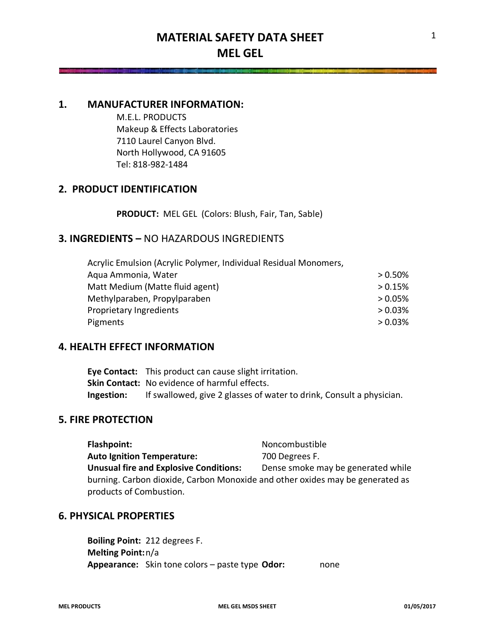### **1. MANUFACTURER INFORMATION:**

M.E.L. PRODUCTS Makeup & Effects Laboratories 7110 Laurel Canyon Blvd. North Hollywood, CA 91605 Tel: 818-982-1484

# **2. PRODUCT IDENTIFICATION**

**PRODUCT:** MEL GEL (Colors: Blush, Fair, Tan, Sable)

# **3. INGREDIENTS –** NO HAZARDOUS INGREDIENTS

| Acrylic Emulsion (Acrylic Polymer, Individual Residual Monomers, |         |
|------------------------------------------------------------------|---------|
| Aqua Ammonia, Water                                              | > 0.50% |
| Matt Medium (Matte fluid agent)                                  | > 0.15% |
| Methylparaben, Propylparaben                                     | > 0.05% |
| Proprietary Ingredients                                          | > 0.03% |
| Pigments                                                         | > 0.03% |

# **4. HEALTH EFFECT INFORMATION**

**Eye Contact:** This product can cause slight irritation. **Skin Contact:** No evidence of harmful effects. **Ingestion:** If swallowed, give 2 glasses of water to drink, Consult a physician.

# **5. FIRE PROTECTION**

**Flashpoint:** Noncombustible Auto Ignition Temperature: 700 Degrees F. **Unusual fire and Explosive Conditions:** Dense smoke may be generated while burning. Carbon dioxide, Carbon Monoxide and other oxides may be generated as products of Combustion.

### **6. PHYSICAL PROPERTIES**

**Boiling Point:** 212 degrees F. **Melting Point:**n/a **Appearance:** Skin tone colors – paste type **Odor:** none

1